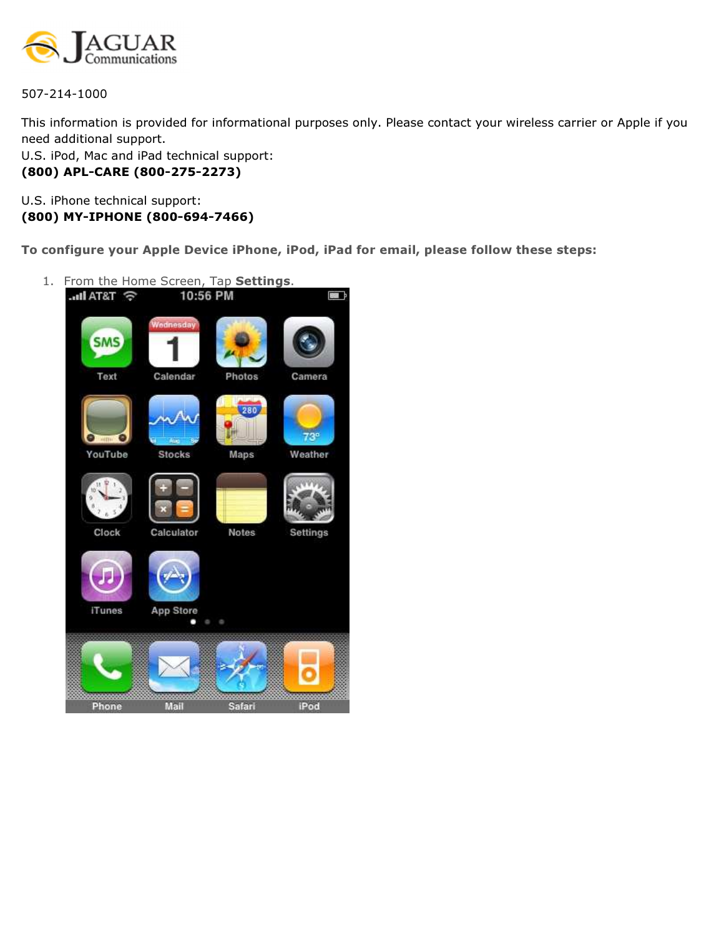

507-214-1000

This information is provided for informational purposes only. Please contact your wireless carrier or Apple if you need additional support.

U.S. iPod, Mac and iPad technical support: (800) APL-CARE (800-275-2273)

U.S. iPhone technical support: (800) MY-IPHONE (800-694-7466)

To configure your Apple Device iPhone, iPod, iPad for email, please follow these steps:

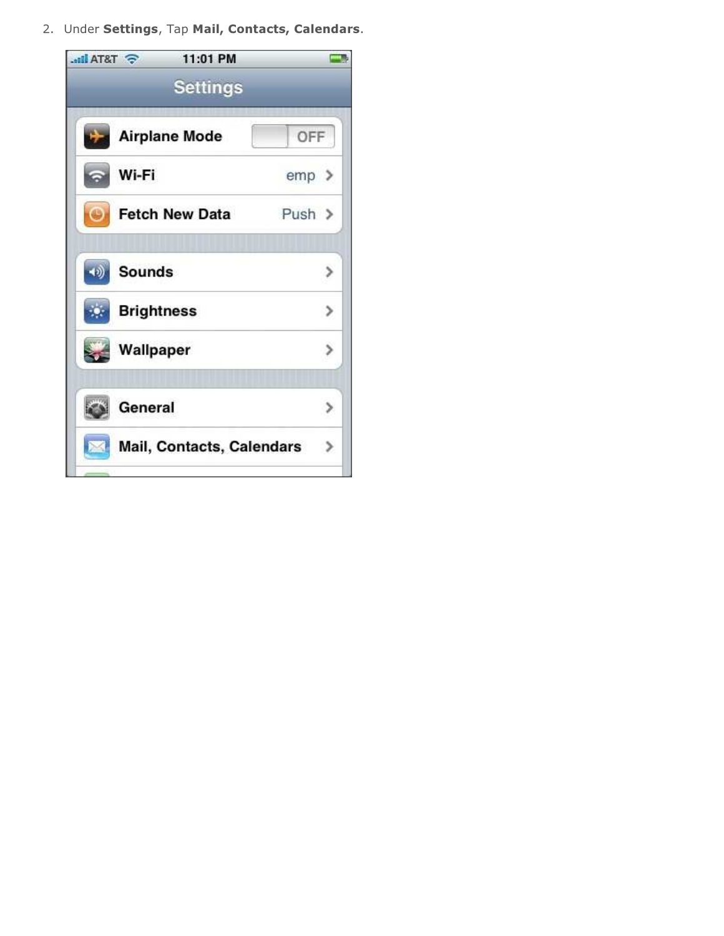2. Under Settings, Tap Mail, Contacts, Calendars.

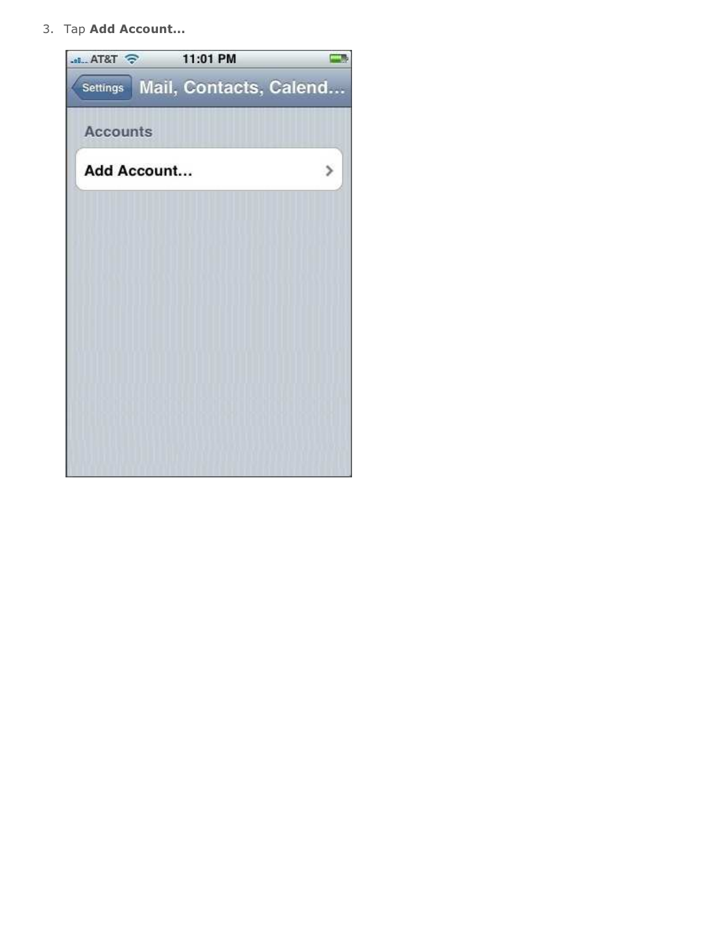3. Tap Add Account...

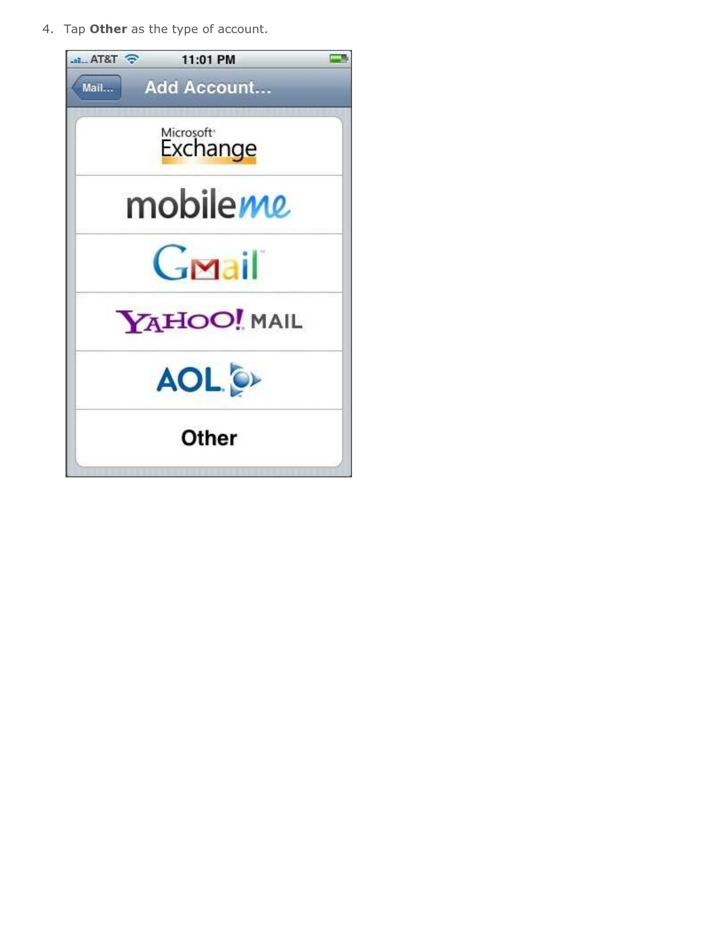4. Tap Other as the type of account.

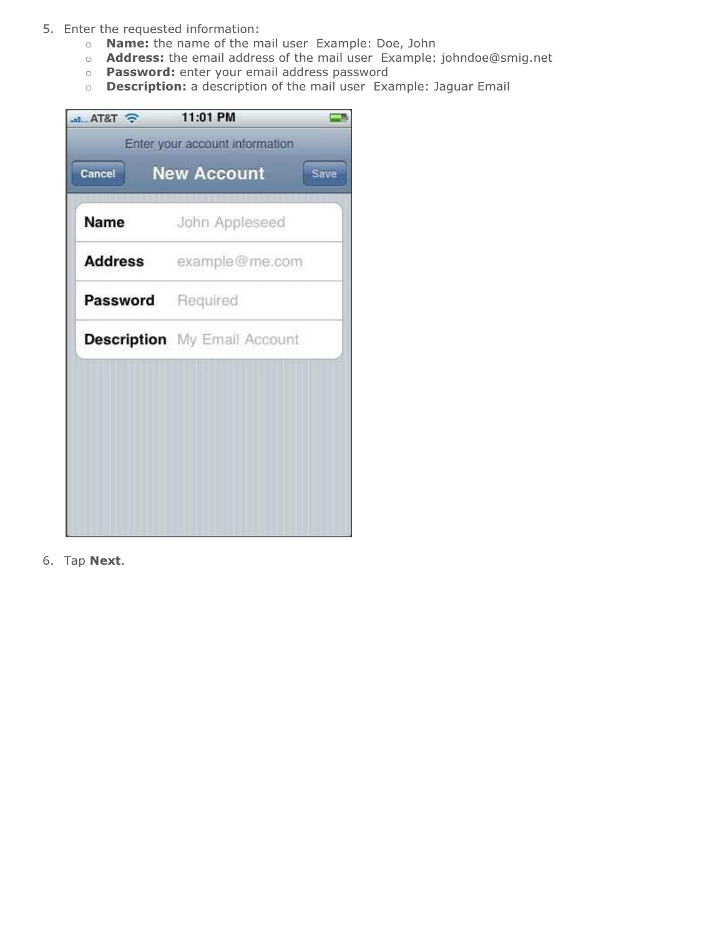- 5. Enter the requested information:
	- o Name: the name of the mail user Example: Doe, John
	- o Address: the email address of the mail user Example: johndoe@smig.net
	- o Password: enter your email address password
	- $\circ$  **Description:** a description of the mail user Example: Jaguar Email

| Name              | John Appleseed                      |
|-------------------|-------------------------------------|
|                   | Address example@me.com              |
| Password Required |                                     |
|                   | <b>Description</b> My Email Account |

6. Tap Next.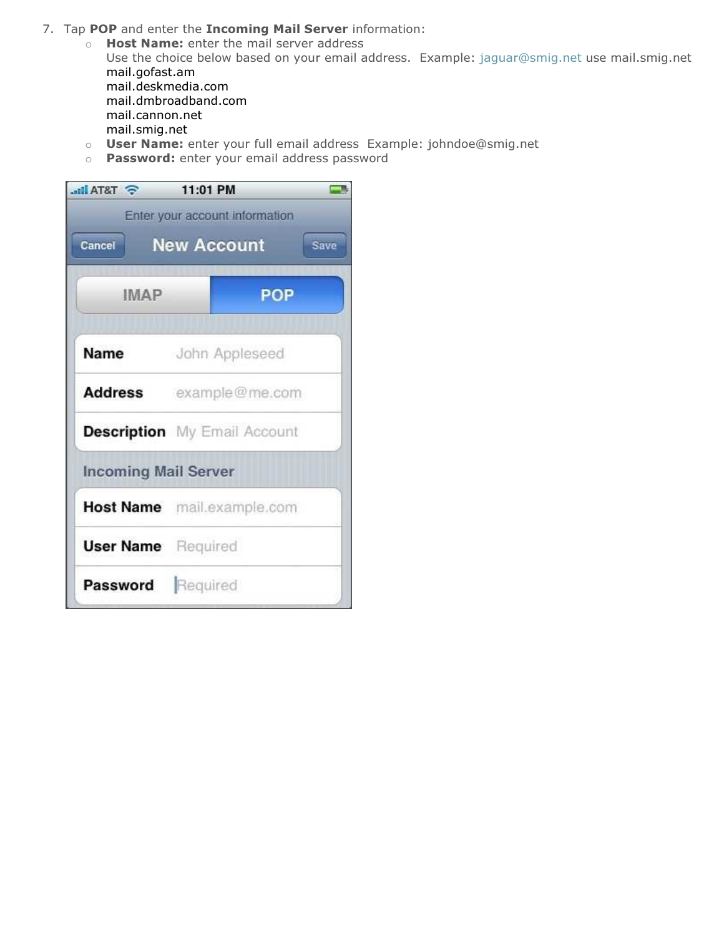- 7. Tap POP and enter the Incoming Mail Server information:
	- o **Host Name:** enter the mail server address Use the choice below based on your email address. Example: jaguar@smig.net use mail.smig.net mail.gofast.am mail.deskmedia.com mail.dmbroadband.com mail.cannon.net mail.smig.net
	- o User Name: enter your full email address Example: johndoe@smig.net
	- o Password: enter your email address password

| <b>EXTRA Inc.</b>           | 11:01 PM                            |
|-----------------------------|-------------------------------------|
|                             | Enter your account information      |
| Cancel                      | <b>New Account</b><br>Save          |
|                             |                                     |
| <b>IMAP</b>                 | <b>POP</b>                          |
|                             |                                     |
| Name                        | John Appleseed                      |
|                             | Address example@me.com              |
|                             | <b>Description</b> My Email Account |
| <b>Incoming Mail Server</b> |                                     |
|                             | Host Name mail.example.com          |
| <b>User Name</b> Required   |                                     |
| Password Required           |                                     |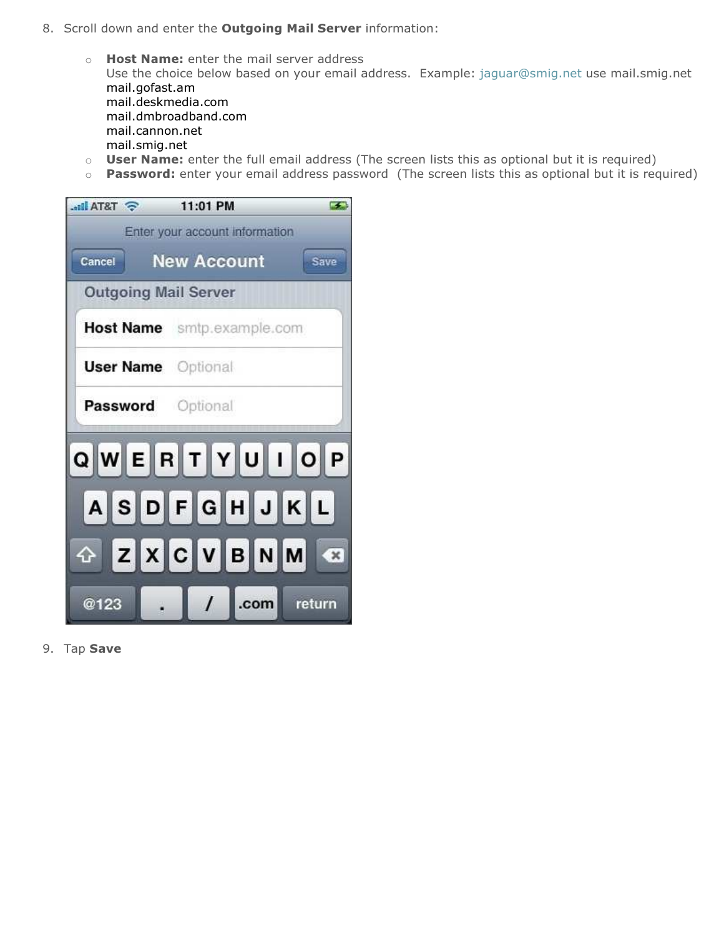- 8. Scroll down and enter the **Outgoing Mail Server** information:
	- o **Host Name:** enter the mail server address Use the choice below based on your email address. Example: jaguar@smig.net use mail.smig.net mail.gofast.am mail.deskmedia.com mail.dmbroadband.com mail.cannon.net mail.smig.net
	- o User Name: enter the full email address (The screen lists this as optional but it is required)
	- $\circ$  Password: enter your email address password (The screen lists this as optional but it is required)

| <b>STATE</b>                | 11:01 PM<br>$\mathcal{F}$          |
|-----------------------------|------------------------------------|
|                             | Enter your account information     |
| Cancel                      | <b>New Account</b><br>Save         |
| <b>Outgoing Mail Server</b> |                                    |
|                             | Host Name smtp.example.com         |
| <b>User Name</b> Optional   |                                    |
| Password Optional           |                                    |
|                             | QWERTYUIOP                         |
|                             | ASDFGHJKL                          |
|                             | OZXCVBNM 3                         |
| <b>@123</b>                 | $\left  \right $<br>.com<br>return |

9. Tap Save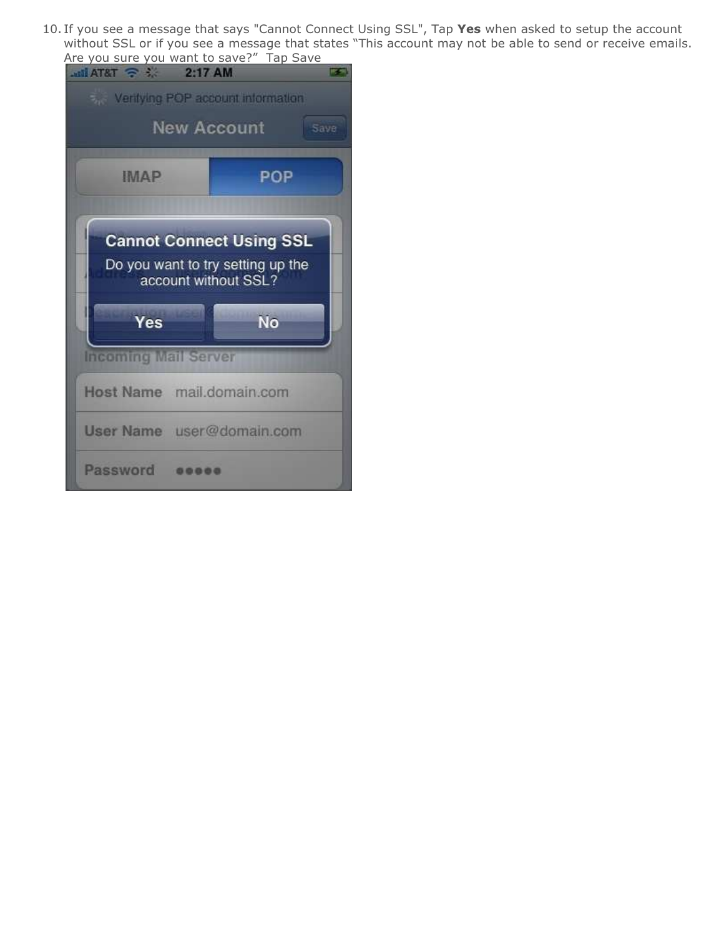10. If you see a message that says "Cannot Connect Using SSL", Tap Yes when asked to setup the account without SSL or if you see a message that states "This account may not be able to send or receive emails. Are you sure you want to save?" Tap Save